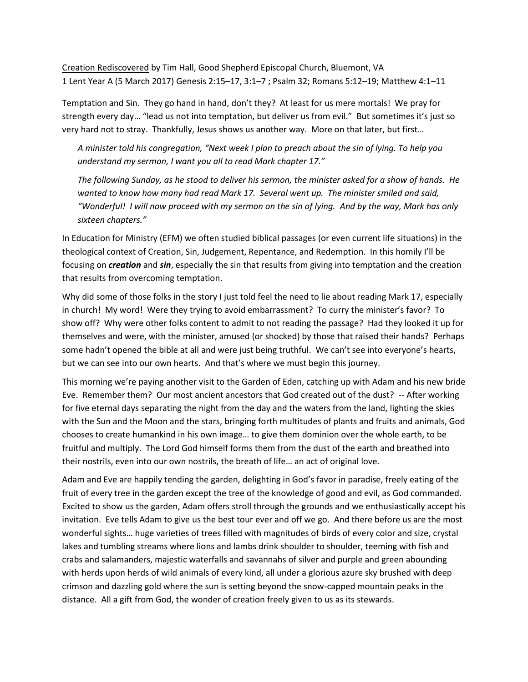Creation Rediscovered by Tim Hall, Good Shepherd Episcopal Church, Bluemont, VA 1 Lent Year A (5 March 2017) Genesis 2:15–17, 3:1–7 ; Psalm 32; Romans 5:12–19; Matthew 4:1–11

Temptation and Sin. They go hand in hand, don't they? At least for us mere mortals! We pray for strength every day… "lead us not into temptation, but deliver us from evil." But sometimes it's just so very hard not to stray. Thankfully, Jesus shows us another way. More on that later, but first…

*A minister told his congregation, "Next week I plan to preach about the sin of lying. To help you understand my sermon, I want you all to read Mark chapter 17."*

*The following Sunday, as he stood to deliver his sermon, the minister asked for a show of hands. He wanted to know how many had read Mark 17. Several went up. The minister smiled and said, "Wonderful! I will now proceed with my sermon on the sin of lying. And by the way, Mark has only sixteen chapters."*

In Education for Ministry (EFM) we often studied biblical passages (or even current life situations) in the theological context of Creation, Sin, Judgement, Repentance, and Redemption. In this homily I'll be focusing on *creation* and *sin*, especially the sin that results from giving into temptation and the creation that results from overcoming temptation.

Why did some of those folks in the story I just told feel the need to lie about reading Mark 17, especially in church! My word! Were they trying to avoid embarrassment? To curry the minister's favor? To show off? Why were other folks content to admit to not reading the passage? Had they looked it up for themselves and were, with the minister, amused (or shocked) by those that raised their hands? Perhaps some hadn't opened the bible at all and were just being truthful. We can't see into everyone's hearts, but we can see into our own hearts. And that's where we must begin this journey.

This morning we're paying another visit to the Garden of Eden, catching up with Adam and his new bride Eve. Remember them? Our most ancient ancestors that God created out of the dust? -- After working for five eternal days separating the night from the day and the waters from the land, lighting the skies with the Sun and the Moon and the stars, bringing forth multitudes of plants and fruits and animals, God chooses to create humankind in his own image… to give them dominion over the whole earth, to be fruitful and multiply. The Lord God himself forms them from the dust of the earth and breathed into their nostrils, even into our own nostrils, the breath of life… an act of original love.

Adam and Eve are happily tending the garden, delighting in God's favor in paradise, freely eating of the fruit of every tree in the garden except the tree of the knowledge of good and evil, as God commanded. Excited to show us the garden, Adam offers stroll through the grounds and we enthusiastically accept his invitation. Eve tells Adam to give us the best tour ever and off we go. And there before us are the most wonderful sights… huge varieties of trees filled with magnitudes of birds of every color and size, crystal lakes and tumbling streams where lions and lambs drink shoulder to shoulder, teeming with fish and crabs and salamanders, majestic waterfalls and savannahs of silver and purple and green abounding with herds upon herds of wild animals of every kind, all under a glorious azure sky brushed with deep crimson and dazzling gold where the sun is setting beyond the snow-capped mountain peaks in the distance. All a gift from God, the wonder of creation freely given to us as its stewards.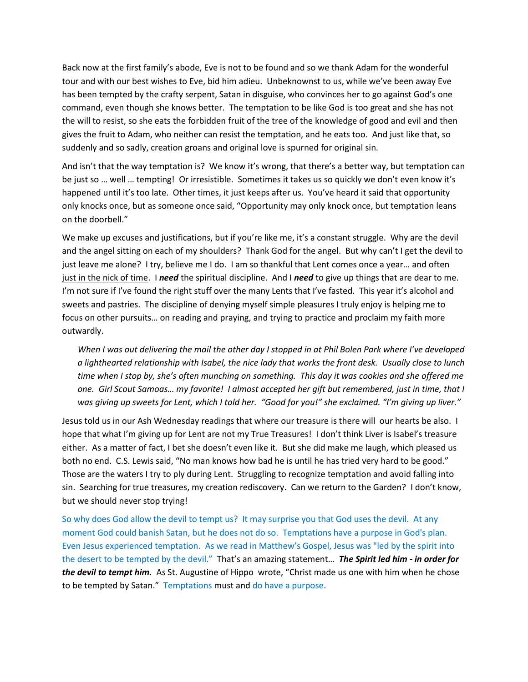Back now at the first family's abode, Eve is not to be found and so we thank Adam for the wonderful tour and with our best wishes to Eve, bid him adieu. Unbeknownst to us, while we've been away Eve has been tempted by the crafty serpent, Satan in disguise, who convinces her to go against God's one command, even though she knows better. The temptation to be like God is too great and she has not the will to resist, so she eats the forbidden fruit of the tree of the knowledge of good and evil and then gives the fruit to Adam, who neither can resist the temptation, and he eats too. And just like that, so suddenly and so sadly, creation groans and original love is spurned for original sin.

And isn't that the way temptation is? We know it's wrong, that there's a better way, but temptation can be just so … well … tempting! Or irresistible. Sometimes it takes us so quickly we don't even know it's happened until it's too late. Other times, it just keeps after us. You've heard it said that opportunity only knocks once, but as someone once said, "Opportunity may only knock once, but temptation leans on the doorbell."

We make up excuses and justifications, but if you're like me, it's a constant struggle. Why are the devil and the angel sitting on each of my shoulders? Thank God for the angel. But why can't I get the devil to just leave me alone? I try, believe me I do. I am so thankful that Lent comes once a year… and often just in the nick of time. I *need* the spiritual discipline. And I *need* to give up things that are dear to me. I'm not sure if I've found the right stuff over the many Lents that I've fasted. This year it's alcohol and sweets and pastries. The discipline of denying myself simple pleasures I truly enjoy is helping me to focus on other pursuits… on reading and praying, and trying to practice and proclaim my faith more outwardly.

*When I was out delivering the mail the other day I stopped in at Phil Bolen Park where I've developed a lighthearted relationship with Isabel, the nice lady that works the front desk. Usually close to lunch time when I stop by, she's often munching on something. This day it was cookies and she offered me one. Girl Scout Samoas… my favorite! I almost accepted her gift but remembered, just in time, that I was giving up sweets for Lent, which I told her. "Good for you!" she exclaimed. "I'm giving up liver."*

Jesus told us in our Ash Wednesday readings that where our treasure is there will our hearts be also. I hope that what I'm giving up for Lent are not my True Treasures! I don't think Liver is Isabel's treasure either. As a matter of fact, I bet she doesn't even like it. But she did make me laugh, which pleased us both no end. C.S. Lewis said, "No man knows how bad he is until he has tried very hard to be good." Those are the waters I try to ply during Lent. Struggling to recognize temptation and avoid falling into sin. Searching for true treasures, my creation rediscovery. Can we return to the Garden? I don't know, but we should never stop trying!

So why does God allow the devil to tempt us? It may surprise you that God uses the devil. At any moment God could banish Satan, but he does not do so. Temptations have a purpose in God's plan. Even Jesus experienced temptation. As we read in Matthew's Gospel, Jesus was "led by the spirit into the desert to be tempted by the devil." That's an amazing statement… *The Spirit led him - in order for the devil to tempt him.* As St. Augustine of Hippo wrote, "Christ made us one with him when he chose to be tempted by Satan." Temptations must and do have a purpose.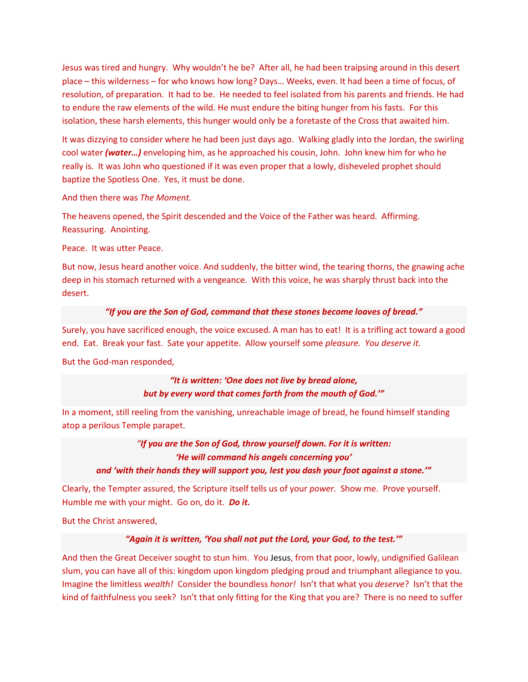Jesus was tired and hungry. Why wouldn't he be? After all, he had been traipsing around in this desert place – this wilderness – for who knows how long? Days… Weeks, even. It had been a time of focus, of resolution, of preparation. It had to be. He needed to feel isolated from his parents and friends. He had to endure the raw elements of the wild. He must endure the biting hunger from his fasts. For this isolation, these harsh elements, this hunger would only be a foretaste of the Cross that awaited him.

It was dizzying to consider where he had been just days ago. Walking gladly into the Jordan, the swirling cool water *(water…)* enveloping him, as he approached his cousin, John. John knew him for who he really is. It was John who questioned if it was even proper that a lowly, disheveled prophet should baptize the Spotless One. Yes, it must be done.

And then there was *The Moment.*

The heavens opened, the Spirit descended and the Voice of the Father was heard. Affirming. Reassuring. Anointing.

Peace. It was utter Peace.

But now, Jesus heard another voice. And suddenly, the bitter wind, the tearing thorns, the gnawing ache deep in his stomach returned with a vengeance. With this voice, he was sharply thrust back into the desert.

## *"If you are the Son of God, command that these stones become loaves of bread."*

Surely, you have sacrificed enough, the voice excused. A man has to eat! It is a trifling act toward a good end. Eat. Break your fast. Sate your appetite. Allow yourself some *pleasure. You deserve it.*

But the God-man responded,

*"It is written: 'One does not live by bread alone, but by every word that comes forth from the mouth of God.'"*

In a moment, still reeling from the vanishing, unreachable image of bread, he found himself standing atop a perilous Temple parapet.

*"If you are the Son of God, throw yourself down. For it is written: 'He will command his angels concerning you' and 'with their hands they will support you, lest you dash your foot against a stone.'"*

Clearly, the Tempter assured, the Scripture itself tells us of your *power.* Show me. Prove yourself. Humble me with your might. Go on, do it. *Do it.*

But the Christ answered,

## *"Again it is written, 'You shall not put the Lord, your God, to the test.'"*

And then the Great Deceiver sought to stun him. You Jesus, from that poor, lowly, undignified Galilean slum, you can have all of this: kingdom upon kingdom pledging proud and triumphant allegiance to you. Imagine the limitless *wealth!* Consider the boundless *honor!* Isn't that what you *deserve*? Isn't that the kind of faithfulness you seek? Isn't that only fitting for the King that you are? There is no need to suffer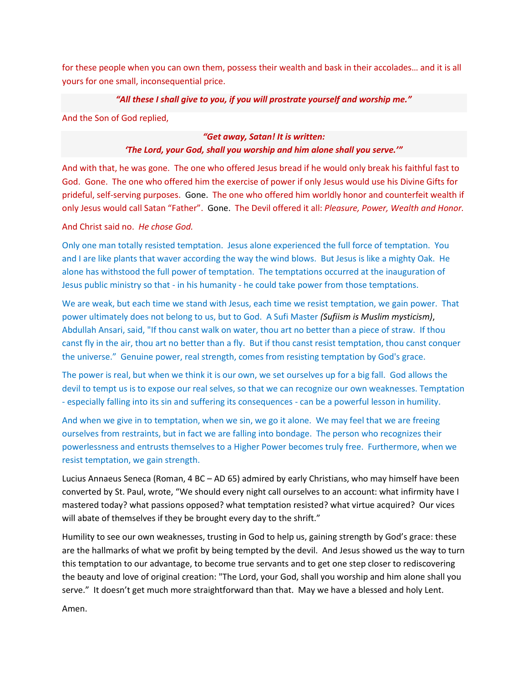for these people when you can own them, possess their wealth and bask in their accolades… and it is all yours for one small, inconsequential price.

# *"All these I shall give to you, if you will prostrate yourself and worship me."*

And the Son of God replied,

#### *"Get away, Satan! It is written:*

# *'The Lord, your God, shall you worship and him alone shall you serve.'"*

And with that, he was gone. The one who offered Jesus bread if he would only break his faithful fast to God. Gone. The one who offered him the exercise of power if only Jesus would use his Divine Gifts for prideful, self-serving purposes. Gone. The one who offered him worldly honor and counterfeit wealth if only Jesus would call Satan "Father". Gone. The Devil offered it all: *Pleasure, Power, Wealth and Honor.*

## And Christ said no. *He chose God.*

Only one man totally resisted temptation. Jesus alone experienced the full force of temptation. You and I are like plants that waver according the way the wind blows. But Jesus is like a mighty Oak. He alone has withstood the full power of temptation. The temptations occurred at the inauguration of Jesus public ministry so that - in his humanity - he could take power from those temptations.

We are weak, but each time we stand with Jesus, each time we resist temptation, we gain power. That power ultimately does not belong to us, but to God. A Sufi Master *(Sufiism is Muslim mysticism)*, Abdullah Ansari, said, "If thou canst walk on water, thou art no better than a piece of straw. If thou canst fly in the air, thou art no better than a fly. But if thou canst resist temptation, thou canst conquer the universe." Genuine power, real strength, comes from resisting temptation by God's grace.

The power is real, but when we think it is our own, we set ourselves up for a big fall. God allows the devil to tempt us is to expose our real selves, so that we can recognize our own weaknesses. Temptation - especially falling into its sin and suffering its consequences - can be a powerful lesson in humility.

And when we give in to temptation, when we sin, we go it alone. We may feel that we are freeing ourselves from restraints, but in fact we are falling into bondage. The person who recognizes their powerlessness and entrusts themselves to a Higher Power becomes truly free. Furthermore, when we resist temptation, we gain strength.

Lucius Annaeus Seneca (Roman, 4 BC – AD 65) admired by early Christians, who may himself have been converted by St. Paul, wrote, "We should every night call ourselves to an account: what infirmity have I mastered today? what passions opposed? what temptation resisted? what virtue acquired? Our vices will abate of themselves if they be brought every day to the shrift."

Humility to see our own weaknesses, trusting in God to help us, gaining strength by God's grace: these are the hallmarks of what we profit by being tempted by the devil. And Jesus showed us the way to turn this temptation to our advantage, to become true servants and to get one step closer to rediscovering the beauty and love of original creation: "The Lord, your God, shall you worship and him alone shall you serve." It doesn't get much more straightforward than that. May we have a blessed and holy Lent.

Amen.